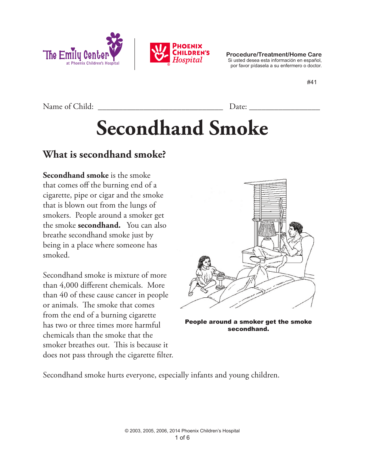



**Procedure/Treatment/Home Care** Si usted desea esta información en español, por favor pídasela a su enfermero o doctor.

#41

Name of Child: \_\_\_\_\_\_\_\_\_\_\_\_\_\_\_\_\_\_\_\_\_\_\_\_\_\_\_\_\_\_ Date: \_\_\_\_\_\_\_\_\_\_\_\_\_\_\_\_\_

**Secondhand Smoke**

### **What is secondhand smoke?**

**Secondhand smoke** is the smoke that comes off the burning end of a cigarette, pipe or cigar and the smoke that is blown out from the lungs of smokers. People around a smoker get the smoke **secondhand.** You can also breathe secondhand smoke just by being in a place where someone has smoked.

Secondhand smoke is mixture of more than 4,000 different chemicals. More than 40 of these cause cancer in people or animals. The smoke that comes from the end of a burning cigarette has two or three times more harmful chemicals than the smoke that the smoker breathes out. This is because it does not pass through the cigarette filter.



People around a smoker get the smoke secondhand.

Secondhand smoke hurts everyone, especially infants and young children.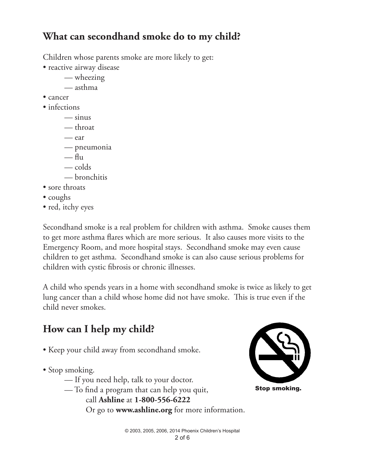## **What can secondhand smoke do to my child?**

Children whose parents smoke are more likely to get:

- reactive airway disease
	- wheezing
	- asthma
- cancer
- infections
	- $\frac{1}{2}$  sinus
	- throat
	- ear
	- pneumonia
	- $-\mathbf{f}$ lu
	- colds
	- bronchitis
- sore throats
- coughs
- red, itchy eyes

Secondhand smoke is a real problem for children with asthma. Smoke causes them to get more asthma flares which are more serious. It also causes more visits to the Emergency Room, and more hospital stays. Secondhand smoke may even cause children to get asthma. Secondhand smoke is can also cause serious problems for children with cystic fibrosis or chronic illnesses.

A child who spends years in a home with secondhand smoke is twice as likely to get lung cancer than a child whose home did not have smoke. This is true even if the child never smokes.

## **How can I help my child?**

- Keep your child away from secondhand smoke.
- Stop smoking.
	- If you need help, talk to your doctor.
	- To find a program that can help you quit, call **Ashline** at **1-800-556-6222**

Or go to **www.ashline.org** for more information.

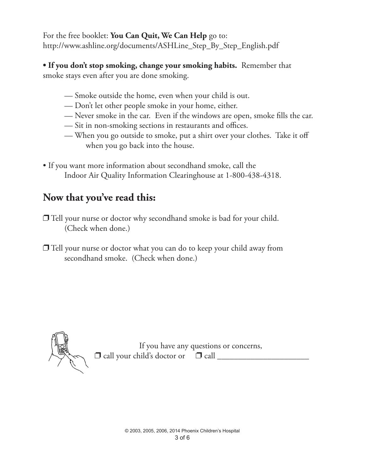For the free booklet: **You Can Quit, We Can Help** go to: http://www.ashline.org/documents/ASHLine\_Step\_By\_Step\_English.pdf

**• If you don't stop smoking, change your smoking habits.** Remember that smoke stays even after you are done smoking.

- Smoke outside the home, even when your child is out.
- Don't let other people smoke in your home, either.
- Never smoke in the car. Even if the windows are open, smoke fills the car.
- Sit in non-smoking sections in restaurants and offices.
- When you go outside to smoke, put a shirt over your clothes. Take it off when you go back into the house.
- If you want more information about secondhand smoke, call the Indoor Air Quality Information Clearinghouse at 1-800-438-4318.

### **Now that you've read this:**

 $\Box$  Tell your nurse or doctor why secondhand smoke is bad for your child. (Check when done.)

 $\Box$  Tell your nurse or doctor what you can do to keep your child away from secondhand smoke. (Check when done.)



If you have any questions or concerns, p call your child's doctor or p call \_\_\_\_\_\_\_\_\_\_\_\_\_\_\_\_\_\_\_\_\_\_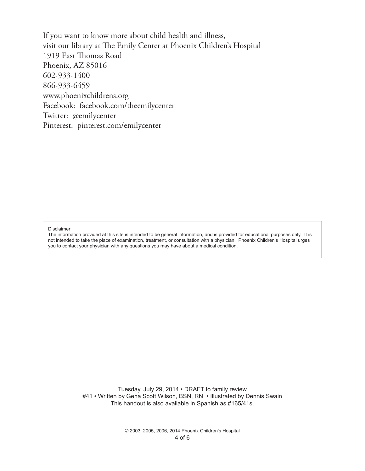If you want to know more about child health and illness, visit our library at The Emily Center at Phoenix Children's Hospital 1919 East Thomas Road Phoenix, AZ 85016 602-933-1400 866-933-6459 www.phoenixchildrens.org Facebook: facebook.com/theemilycenter Twitter: @emilycenter Pinterest: pinterest.com/emilycenter

#### Disclaimer

The information provided at this site is intended to be general information, and is provided for educational purposes only. It is not intended to take the place of examination, treatment, or consultation with a physician. Phoenix Children's Hospital urges you to contact your physician with any questions you may have about a medical condition.

> Tuesday, July 29, 2014 • DRAFT to family review #41 • Written by Gena Scott Wilson, BSN, RN • Illustrated by Dennis Swain This handout is also available in Spanish as #165/41s.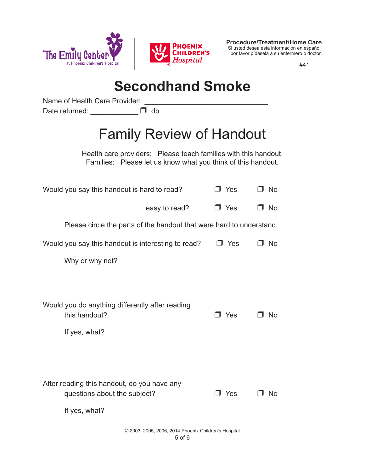



**Procedure/Treatment/Home Care** Si usted desea esta información en español, por favor pídasela a su enfermero o doctor.

#41

# **Secondhand Smoke**

Name of Health Care Provider:

Date returned: \_\_\_\_\_\_\_\_\_\_\_\_ D db

# Family Review of Handout

Health care providers: Please teach families with this handout. Families: Please let us know what you think of this handout.

| Would you say this handout is hard to read?                                                  | J Yes      | □ No      |
|----------------------------------------------------------------------------------------------|------------|-----------|
| easy to read?                                                                                | $\Box$ Yes | No<br>. . |
| Please circle the parts of the handout that were hard to understand.                         |            |           |
| Would you say this handout is interesting to read?                                           | コ Yes      | No.       |
| Why or why not?                                                                              |            |           |
|                                                                                              |            |           |
| Would you do anything differently after reading<br>this handout?<br>If yes, what?            | Yes<br>л.  | <b>No</b> |
| After reading this handout, do you have any<br>questions about the subject?<br>If yes, what? | J Yes      | <b>No</b> |
| © 2003, 2005, 2006, 2014 Phoenix Children's Hospital<br>5 of 6                               |            |           |